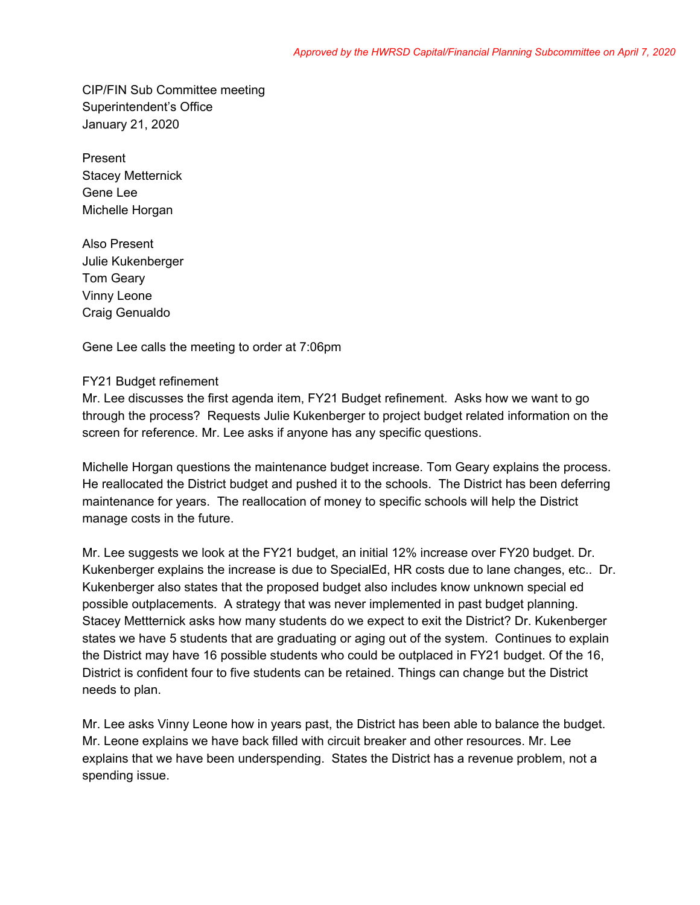CIP/FIN Sub Committee meeting Superintendent's Office January 21, 2020

Present Stacey Metternick Gene Lee Michelle Horgan

Also Present Julie Kukenberger Tom Geary Vinny Leone Craig Genualdo

Gene Lee calls the meeting to order at 7:06pm

## FY21 Budget refinement

Mr. Lee discusses the first agenda item, FY21 Budget refinement. Asks how we want to go through the process? Requests Julie Kukenberger to project budget related information on the screen for reference. Mr. Lee asks if anyone has any specific questions.

Michelle Horgan questions the maintenance budget increase. Tom Geary explains the process. He reallocated the District budget and pushed it to the schools. The District has been deferring maintenance for years. The reallocation of money to specific schools will help the District manage costs in the future.

Mr. Lee suggests we look at the FY21 budget, an initial 12% increase over FY20 budget. Dr. Kukenberger explains the increase is due to SpecialEd, HR costs due to lane changes, etc.. Dr. Kukenberger also states that the proposed budget also includes know unknown special ed possible outplacements. A strategy that was never implemented in past budget planning. Stacey Mettternick asks how many students do we expect to exit the District? Dr. Kukenberger states we have 5 students that are graduating or aging out of the system. Continues to explain the District may have 16 possible students who could be outplaced in FY21 budget. Of the 16, District is confident four to five students can be retained. Things can change but the District needs to plan.

Mr. Lee asks Vinny Leone how in years past, the District has been able to balance the budget. Mr. Leone explains we have back filled with circuit breaker and other resources. Mr. Lee explains that we have been underspending. States the District has a revenue problem, not a spending issue.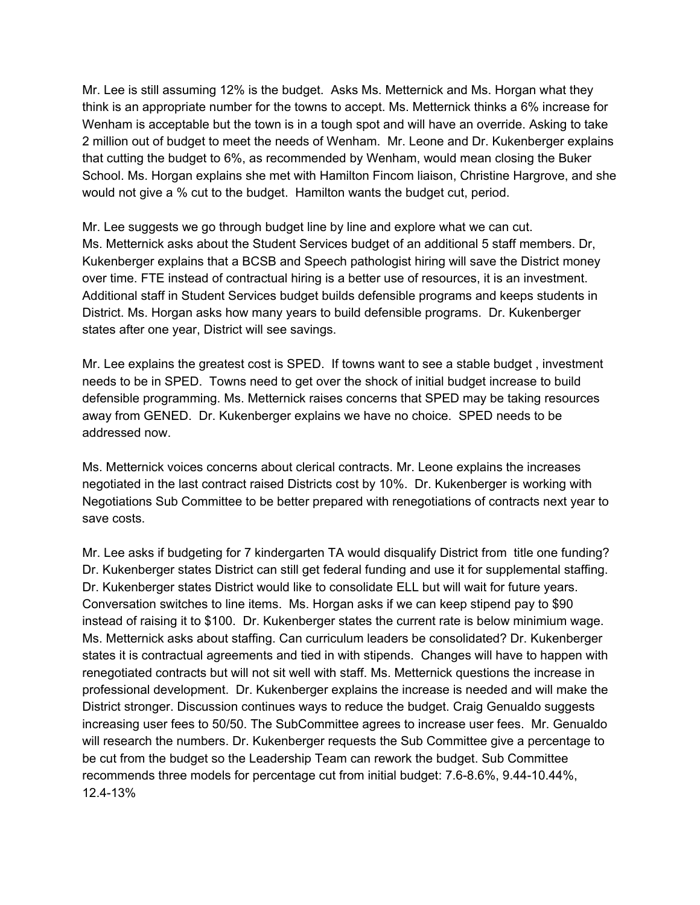Mr. Lee is still assuming 12% is the budget. Asks Ms. Metternick and Ms. Horgan what they think is an appropriate number for the towns to accept. Ms. Metternick thinks a 6% increase for Wenham is acceptable but the town is in a tough spot and will have an override. Asking to take 2 million out of budget to meet the needs of Wenham. Mr. Leone and Dr. Kukenberger explains that cutting the budget to 6%, as recommended by Wenham, would mean closing the Buker School. Ms. Horgan explains she met with Hamilton Fincom liaison, Christine Hargrove, and she would not give a % cut to the budget. Hamilton wants the budget cut, period.

Mr. Lee suggests we go through budget line by line and explore what we can cut. Ms. Metternick asks about the Student Services budget of an additional 5 staff members. Dr, Kukenberger explains that a BCSB and Speech pathologist hiring will save the District money over time. FTE instead of contractual hiring is a better use of resources, it is an investment. Additional staff in Student Services budget builds defensible programs and keeps students in District. Ms. Horgan asks how many years to build defensible programs. Dr. Kukenberger states after one year, District will see savings.

Mr. Lee explains the greatest cost is SPED. If towns want to see a stable budget , investment needs to be in SPED. Towns need to get over the shock of initial budget increase to build defensible programming. Ms. Metternick raises concerns that SPED may be taking resources away from GENED. Dr. Kukenberger explains we have no choice. SPED needs to be addressed now.

Ms. Metternick voices concerns about clerical contracts. Mr. Leone explains the increases negotiated in the last contract raised Districts cost by 10%. Dr. Kukenberger is working with Negotiations Sub Committee to be better prepared with renegotiations of contracts next year to save costs.

Mr. Lee asks if budgeting for 7 kindergarten TA would disqualify District from title one funding? Dr. Kukenberger states District can still get federal funding and use it for supplemental staffing. Dr. Kukenberger states District would like to consolidate ELL but will wait for future years. Conversation switches to line items. Ms. Horgan asks if we can keep stipend pay to \$90 instead of raising it to \$100. Dr. Kukenberger states the current rate is below minimium wage. Ms. Metternick asks about staffing. Can curriculum leaders be consolidated? Dr. Kukenberger states it is contractual agreements and tied in with stipends. Changes will have to happen with renegotiated contracts but will not sit well with staff. Ms. Metternick questions the increase in professional development. Dr. Kukenberger explains the increase is needed and will make the District stronger. Discussion continues ways to reduce the budget. Craig Genualdo suggests increasing user fees to 50/50. The SubCommittee agrees to increase user fees. Mr. Genualdo will research the numbers. Dr. Kukenberger requests the Sub Committee give a percentage to be cut from the budget so the Leadership Team can rework the budget. Sub Committee recommends three models for percentage cut from initial budget: 7.6-8.6%, 9.44-10.44%, 12.4-13%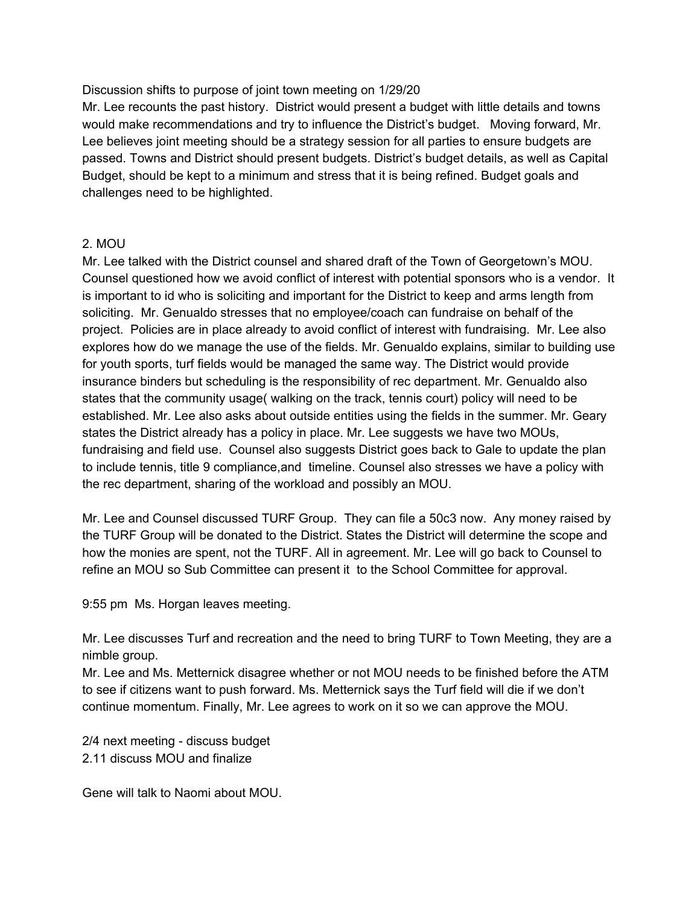Discussion shifts to purpose of joint town meeting on 1/29/20

Mr. Lee recounts the past history. District would present a budget with little details and towns would make recommendations and try to influence the District's budget. Moving forward, Mr. Lee believes joint meeting should be a strategy session for all parties to ensure budgets are passed. Towns and District should present budgets. District's budget details, as well as Capital Budget, should be kept to a minimum and stress that it is being refined. Budget goals and challenges need to be highlighted.

## 2. MOU

Mr. Lee talked with the District counsel and shared draft of the Town of Georgetown's MOU. Counsel questioned how we avoid conflict of interest with potential sponsors who is a vendor. It is important to id who is soliciting and important for the District to keep and arms length from soliciting. Mr. Genualdo stresses that no employee/coach can fundraise on behalf of the project. Policies are in place already to avoid conflict of interest with fundraising. Mr. Lee also explores how do we manage the use of the fields. Mr. Genualdo explains, similar to building use for youth sports, turf fields would be managed the same way. The District would provide insurance binders but scheduling is the responsibility of rec department. Mr. Genualdo also states that the community usage( walking on the track, tennis court) policy will need to be established. Mr. Lee also asks about outside entities using the fields in the summer. Mr. Geary states the District already has a policy in place. Mr. Lee suggests we have two MOUs, fundraising and field use. Counsel also suggests District goes back to Gale to update the plan to include tennis, title 9 compliance,and timeline. Counsel also stresses we have a policy with the rec department, sharing of the workload and possibly an MOU.

Mr. Lee and Counsel discussed TURF Group. They can file a 50c3 now. Any money raised by the TURF Group will be donated to the District. States the District will determine the scope and how the monies are spent, not the TURF. All in agreement. Mr. Lee will go back to Counsel to refine an MOU so Sub Committee can present it to the School Committee for approval.

9:55 pm Ms. Horgan leaves meeting.

Mr. Lee discusses Turf and recreation and the need to bring TURF to Town Meeting, they are a nimble group.

Mr. Lee and Ms. Metternick disagree whether or not MOU needs to be finished before the ATM to see if citizens want to push forward. Ms. Metternick says the Turf field will die if we don't continue momentum. Finally, Mr. Lee agrees to work on it so we can approve the MOU.

2/4 next meeting - discuss budget 2.11 discuss MOU and finalize

Gene will talk to Naomi about MOU.